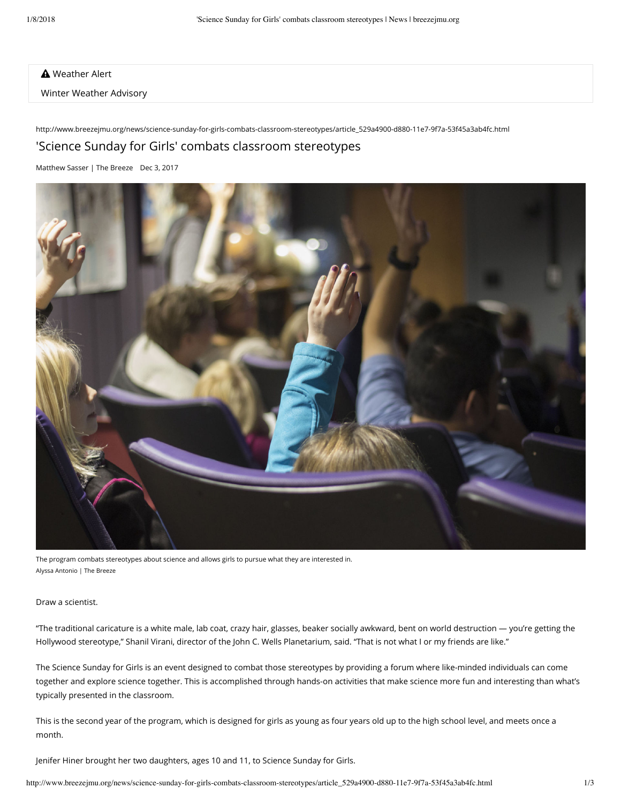**A** Weather Alert

Winter Weather Advisory

http://www.breezejmu.org/news/science-sunday-for-girls-combats-classroom-stereotypes/article\_529a4900-d880-11e7-9f7a-53f45a3ab4fc.html 'Science Sunday for Girls' combats classroom stereotypes

[Matthew Sasser | The Breeze](https://www.breezejmu.org/users/profile/Matthew%20Sasser) Dec 3, 2017



The program combats stereotypes about science and allows girls to pursue what they are interested in. Alyssa Antonio | The Breeze

Draw a scientist.

"The traditional caricature is a white male, lab coat, crazy hair, glasses, beaker socially awkward, bent on world destruction — you're getting the Hollywood stereotype," Shanil Virani, director of the John C. Wells Planetarium, said. "That is not what I or my friends are like."

The Science Sunday for Girls is an event designed to combat those stereotypes by providing a forum where like-minded individuals can come together and explore science together. This is accomplished through hands-on activities that make science more fun and interesting than what's typically presented in the classroom.

This is the second year of the program, which is designed for girls as young as four years old up to the high school level, and meets once a month.

Jenifer Hiner brought her two daughters, ages 10 and 11, to Science Sunday for Girls.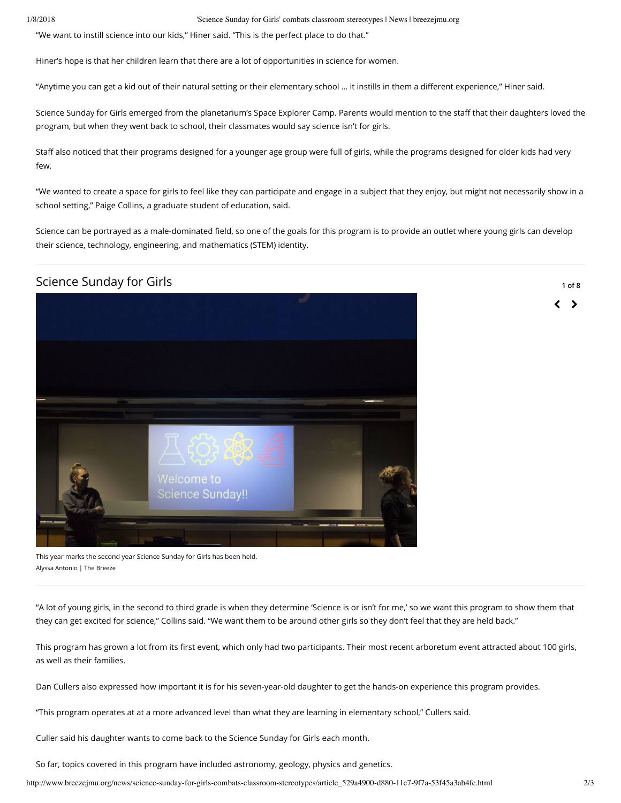1/8/2018 'Science Sunday for Girls' combats classroom stereotypes | News | breezejmu.org

"We want to instill science into our kids," Hiner said. "This is the perfect place to do that."

Hiner's hope is that her children learn that there are a lot of opportunities in science for women.

"Anytime you can get a kid out of their natural setting or their elementary school ... it instills in them a different experience," Hiner said.

Science Sunday for Girls emerged from the planetarium's Space Explorer Camp. Parents would mention to the staff that their daughters loved the program, but when they went back to school, their classmates would say science isn't for girls.

Staff also noticed that their programs designed for a younger age group were full of girls, while the programs designed for older kids had very few.

"We wanted to create a space for girls to feel like they can participate and engage in a subject that they enjoy, but might not necessarily show in a school setting," Paige Collins, a graduate student of education, said.

Science can be portrayed as a male-dominated field, so one of the goals for this program is to provide an outlet where young girls can develop their science, technology, engineering, and mathematics (STEM) identity.

## Science Sunday for Girls



**1 of 8**

く ゝ

This year marks the second year Science Sunday for Girls has been held. Alyssa Antonio | The Breeze

"A lot of young girls, in the second to third grade is when they determine 'Science is or isn't for me,' so we want this program to show them that they can get excited for science," Collins said. "We want them to be around other girls so they don't feel that they are held back."

This program has grown a lot from its first event, which only had two participants. Their most recent arboretum event attracted about 100 girls, as well as their families.

Dan Cullers also expressed how important it is for his seven-year-old daughter to get the hands-on experience this program provides.

"This program operates at at a more advanced level than what they are learning in elementary school," Cullers said.

Culler said his daughter wants to come back to the Science Sunday for Girls each month.

So far, topics covered in this program have included astronomy, geology, physics and genetics.

http://www.breezejmu.org/news/science-sunday-for-girls-combats-classroom-stereotypes/article\_529a4900-d880-11e7-9f7a-53f45a3ab4fc.html 2/3